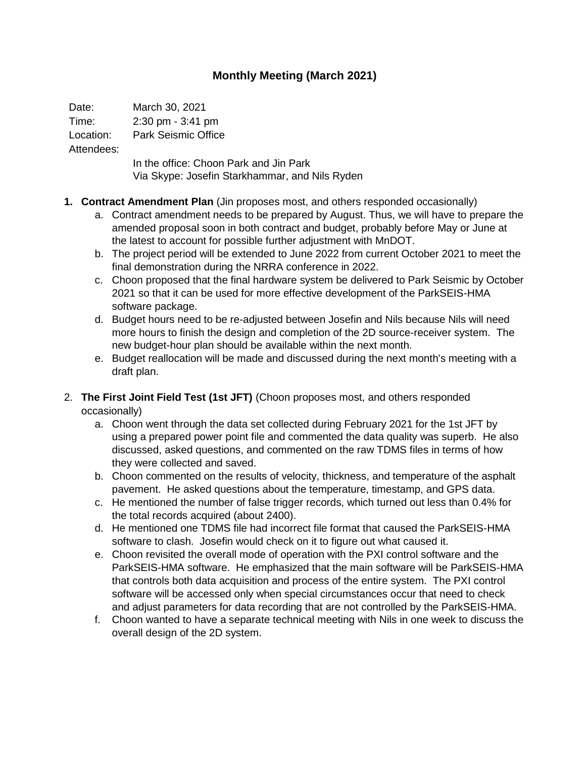## **Monthly Meeting (March 2021)**

Date: March 30, 2021

Time: 2:30 pm - 3:41 pm

Location: Park Seismic Office

Attendees:

In the office: Choon Park and Jin Park Via Skype: Josefin Starkhammar, and Nils Ryden

- **1. Contract Amendment Plan** (Jin proposes most, and others responded occasionally)
	- a. Contract amendment needs to be prepared by August. Thus, we will have to prepare the amended proposal soon in both contract and budget, probably before May or June at the latest to account for possible further adjustment with MnDOT.
	- b. The project period will be extended to June 2022 from current October 2021 to meet the final demonstration during the NRRA conference in 2022.
	- c. Choon proposed that the final hardware system be delivered to Park Seismic by October 2021 so that it can be used for more effective development of the ParkSEIS-HMA software package.
	- d. Budget hours need to be re-adjusted between Josefin and Nils because Nils will need more hours to finish the design and completion of the 2D source-receiver system. The new budget-hour plan should be available within the next month.
	- e. Budget reallocation will be made and discussed during the next month's meeting with a draft plan.
- 2. **The First Joint Field Test (1st JFT)** (Choon proposes most, and others responded occasionally)
	- a. Choon went through the data set collected during February 2021 for the 1st JFT by using a prepared power point file and commented the data quality was superb. He also discussed, asked questions, and commented on the raw TDMS files in terms of how they were collected and saved.
	- b. Choon commented on the results of velocity, thickness, and temperature of the asphalt pavement. He asked questions about the temperature, timestamp, and GPS data.
	- c. He mentioned the number of false trigger records, which turned out less than 0.4% for the total records acquired (about 2400).
	- d. He mentioned one TDMS file had incorrect file format that caused the ParkSEIS-HMA software to clash. Josefin would check on it to figure out what caused it.
	- e. Choon revisited the overall mode of operation with the PXI control software and the ParkSEIS-HMA software. He emphasized that the main software will be ParkSEIS-HMA that controls both data acquisition and process of the entire system. The PXI control software will be accessed only when special circumstances occur that need to check and adjust parameters for data recording that are not controlled by the ParkSEIS-HMA.
	- f. Choon wanted to have a separate technical meeting with Nils in one week to discuss the overall design of the 2D system.